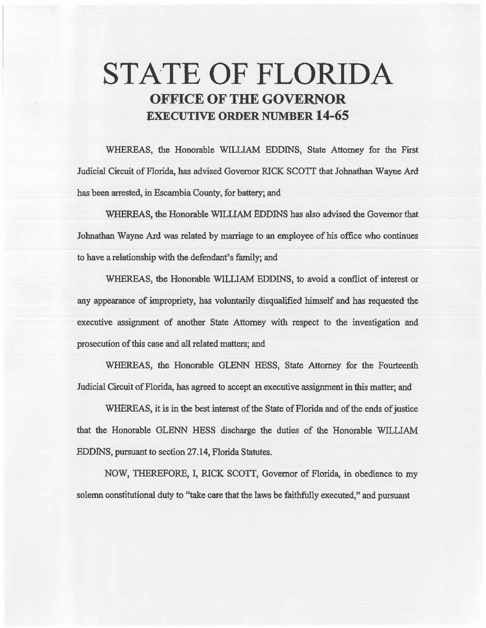# **,STATE OF FLORIDA OFFICE OF THE GOVERNOR EXECUTIVE ORDER NUMBER 14-65**

WHEREAS, the Honorable WILUAM EDDINS, State Attorney for the First Judicial Circuit of Florida, has advised Governor RICK SCOTT that Johnathan Wayne Ard has been arrested, in Escambia County, for battery; and

WHEREAS, the Honorable WILLIAM EDDlNS has also advised the Governor that Jobnatban Wayne Ard was related by marriage to an employee of his office who continues to have a relationship with the defendant's family; and

WHEREAS, the Honorable WILLIAM EDDINS, to avoid a conflict of interest or any appearance of impropriety, has volwtarily disqualified himself and has requested the executive assignment of another State Attorney with respect to the investigation and prosecution of this case and all related matters; and

WHEREAS, the Honorable GLENN HESS, State Attorney for the Fourteenth Judicial Circuit of Florida, has agreed to accept an executive assignment in this matter; and

WHEREAS, it is in the best interest of the State of Florida and of the ends of justice that the Honorable GLENN HESS discharge the duties of the Honorable WILLIAM EDDINS, pursuant to section 27 .14, Florida Statutes.

NOW, THEREFORE, I, RICK SCOTT, Governor of Florida, in obedience to my solemn constitutional duty to ''take care that the laws be faithfully executed," and pursuant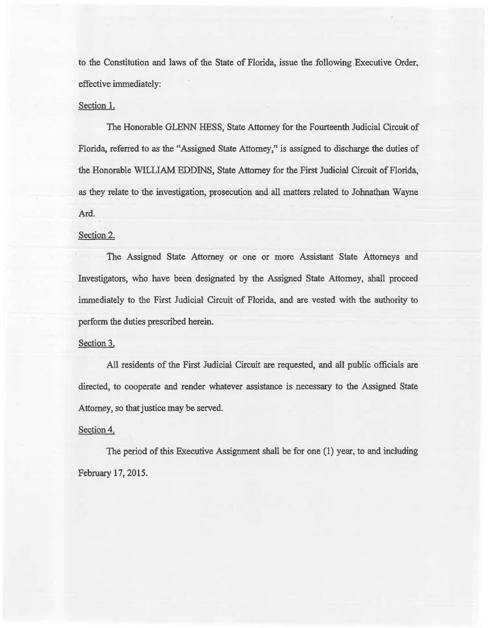to the Constitution and laws of the State of Florida, issue the following Executive Order, effective immediately:

## Section I.

The Honorable GLENN HESS, State Attorney for the Fourteenth Judicial Circuit of Florida. referred to as the "Assigned State Attorney," is assigned to discharge the duties of the Honorable WILLIAM EDDINS, State Attorney for the First Judicial Circuit of Florida, as they relate to the investigation, prosecution and all matters related to Jobnathan Wayne Ard.

## Section 2.

The Assigned State Attorney or one or more Assistant State Attorneys and Investigators, who have been designated by the Assigned State Attorney, shall proceed immediately to the First Judicial Circuit of Florida, and are vested with the authority to perform the duties prescribed herein.

#### Section 3.

All residents of the First Judicial Circuit are requested, and all public officials are directed, to cooperate and render whatever assistance is necessary to the Assigned State Attorney, so that justice may be served.

## Section 4.

The period of this Executive Assignment shall be for one (1) year, to and including February 17, 2015.